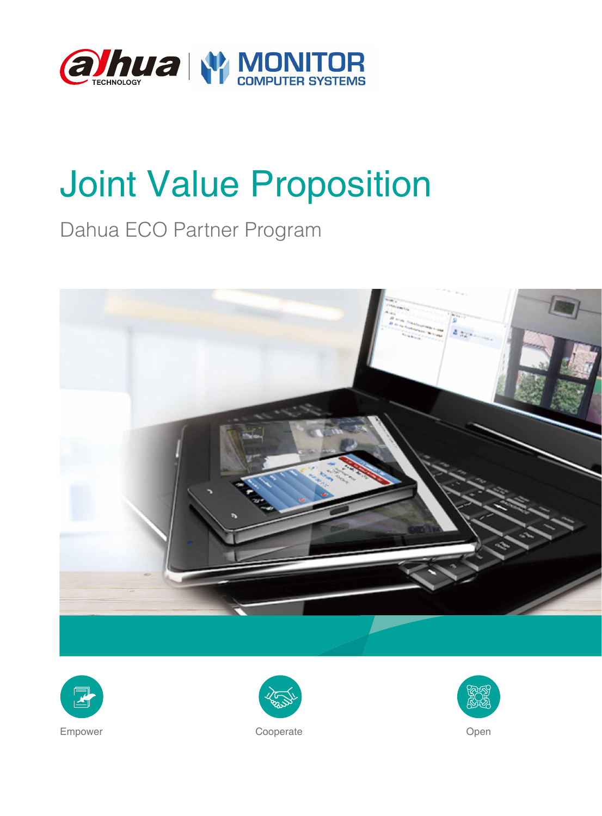

# Joint Value Proposition

## Dahua ECO Partner Program







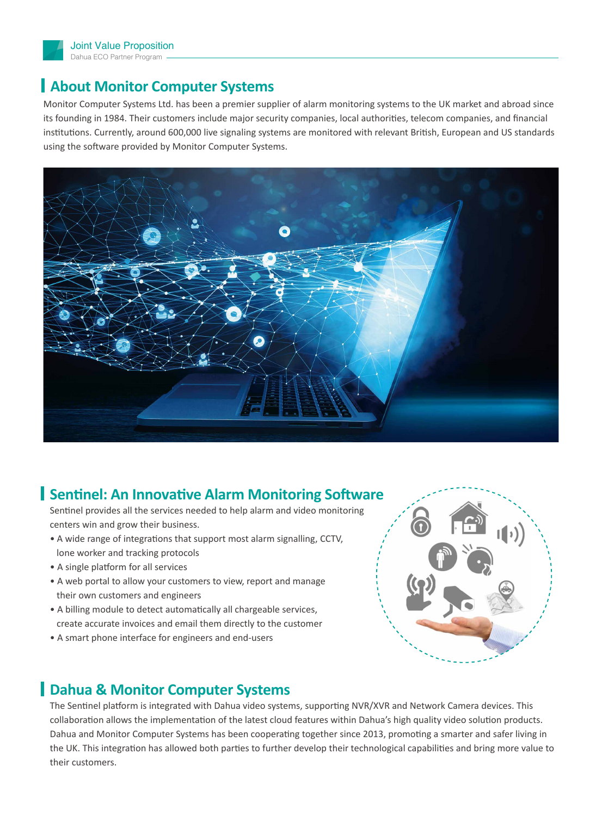

#### **About Monitor Computer Systems**

Monitor Computer Systems Ltd. has been a premier supplier of alarm monitoring systems to the UK market and abroad since its founding in 1984. Their customers include major security companies, local authorities, telecom companies, and financial institutions. Currently, around 600,000 live signaling systems are monitored with relevant British, European and US standards using the software provided by Monitor Computer Systems.



#### **Sentinel: An Innovative Alarm Monitoring Software**

Sentinel provides all the services needed to help alarm and video monitoring centers win and grow their business.

- A wide range of integrations that support most alarm signalling, CCTV, lone worker and tracking protocols
- A single platform for all services
- A web portal to allow your customers to view, report and manage their own customers and engineers
- A billing module to detect automatically all chargeable services, create accurate invoices and email them directly to the customer
- A smart phone interface for engineers and end-users



### **Dahua & Monitor Computer Systems**

The Sentinel platform is integrated with Dahua video systems, supporting NVR/XVR and Network Camera devices. This collaboration allows the implementation of the latest cloud features within Dahua's high quality video solution products. Dahua and Monitor Computer Systems has been cooperating together since 2013, promoting a smarter and safer living in the UK. This integration has allowed both parties to further develop their technological capabilities and bring more value to their customers.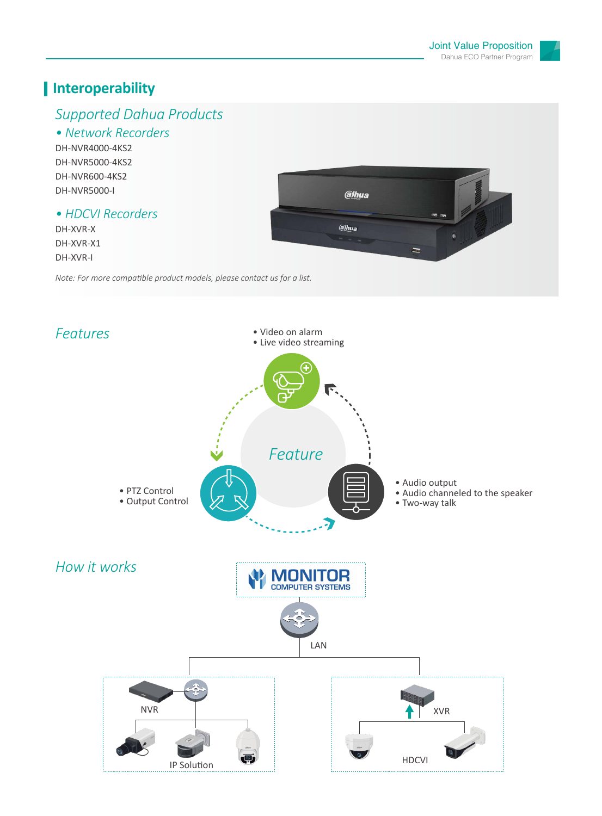## **Interoperability**

## *Supported Dahua Products*

#### *• Network Recorders* DH-NVR4000-4KS2

DH-NVR5000-4KS2 DH-NVR600-4KS2 DH-NVR5000-I

#### *• HDCVI Recorders*

DH-XVR-X DH-XVR-X1 DH-XVR-I



*Note: For more compatible product models, please contact us for a list.*